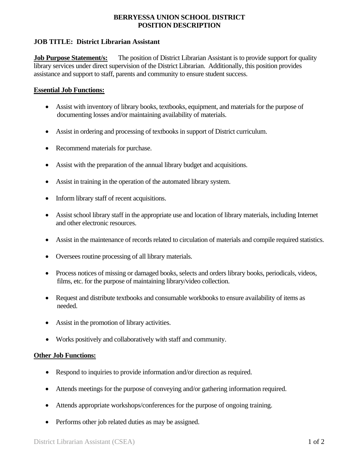## **BERRYESSA UNION SCHOOL DISTRICT POSITION DESCRIPTION**

# **JOB TITLE: District Librarian Assistant**

**Job Purpose Statement/s:** The position of District Librarian Assistant is to provide support for quality library services under direct supervision of the District Librarian. Additionally, this position provides assistance and support to staff, parents and community to ensure student success.

### **Essential Job Functions:**

- Assist with inventory of library books, textbooks, equipment, and materials for the purpose of documenting losses and/or maintaining availability of materials.
- Assist in ordering and processing of textbooks in support of District curriculum.
- Recommend materials for purchase.
- Assist with the preparation of the annual library budget and acquisitions.
- Assist in training in the operation of the automated library system.
- Inform library staff of recent acquisitions.
- Assist school library staff in the appropriate use and location of library materials, including Internet and other electronic resources.
- Assist in the maintenance of records related to circulation of materials and compile required statistics.
- Oversees routine processing of all library materials.
- Process notices of missing or damaged books, selects and orders library books, periodicals, videos, films, etc. for the purpose of maintaining library/video collection.
- Request and distribute textbooks and consumable workbooks to ensure availability of items as needed.
- Assist in the promotion of library activities.
- Works positively and collaboratively with staff and community.

# **Other Job Functions:**

- Respond to inquiries to provide information and/or direction as required.
- Attends meetings for the purpose of conveying and/or gathering information required.
- Attends appropriate workshops/conferences for the purpose of ongoing training.
- Performs other job related duties as may be assigned.